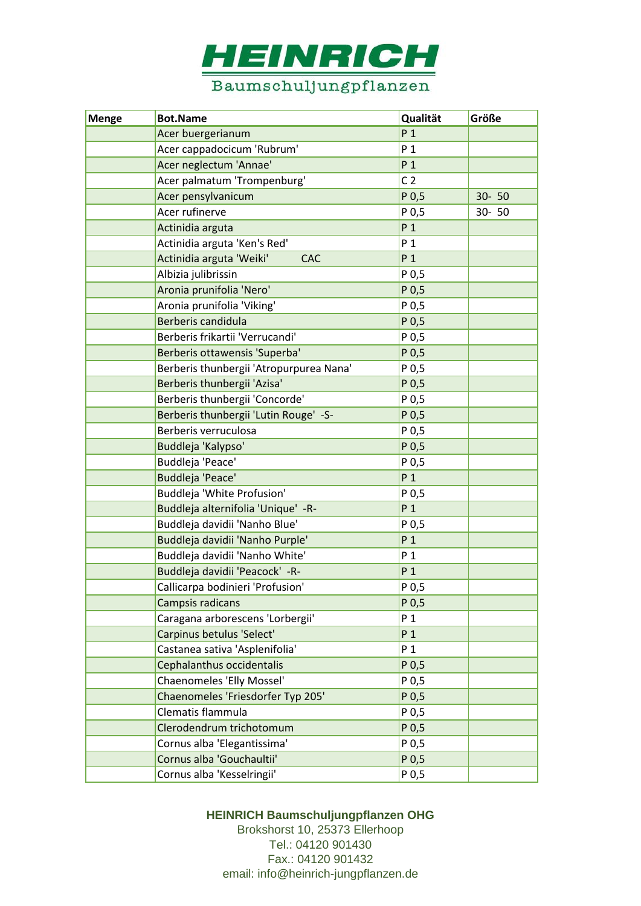

| <b>Menge</b> | <b>Bot.Name</b>                         | Qualität         | Größe     |
|--------------|-----------------------------------------|------------------|-----------|
|              | Acer buergerianum                       | P <sub>1</sub>   |           |
|              | Acer cappadocicum 'Rubrum'              | P <sub>1</sub>   |           |
|              | Acer neglectum 'Annae'                  | P <sub>1</sub>   |           |
|              | Acer palmatum 'Trompenburg'             | C <sub>2</sub>   |           |
|              | Acer pensylvanicum                      | P <sub>0,5</sub> | 30-50     |
|              | Acer rufinerve                          | P 0,5            | $30 - 50$ |
|              | Actinidia arguta                        | P <sub>1</sub>   |           |
|              | Actinidia arguta 'Ken's Red'            | P 1              |           |
|              | Actinidia arguta 'Weiki'<br><b>CAC</b>  | P <sub>1</sub>   |           |
|              | Albizia julibrissin                     | P 0,5            |           |
|              | Aronia prunifolia 'Nero'                | P 0,5            |           |
|              | Aronia prunifolia 'Viking'              | P 0,5            |           |
|              | Berberis candidula                      | P 0,5            |           |
|              | Berberis frikartii 'Verrucandi'         | P 0,5            |           |
|              | Berberis ottawensis 'Superba'           | P <sub>0,5</sub> |           |
|              | Berberis thunbergii 'Atropurpurea Nana' | P 0,5            |           |
|              | Berberis thunbergii 'Azisa'             | P 0,5            |           |
|              | Berberis thunbergii 'Concorde'          | P 0,5            |           |
|              | Berberis thunbergii 'Lutin Rouge' -S-   | P <sub>0,5</sub> |           |
|              | Berberis verruculosa                    | P 0,5            |           |
|              | Buddleja 'Kalypso'                      | P 0,5            |           |
|              | Buddleja 'Peace'                        | P 0,5            |           |
|              | Buddleja 'Peace'                        | P <sub>1</sub>   |           |
|              | Buddleja 'White Profusion'              | P 0,5            |           |
|              | Buddleja alternifolia 'Unique' -R-      | P <sub>1</sub>   |           |
|              | Buddleja davidii 'Nanho Blue'           | P 0,5            |           |
|              | Buddleja davidii 'Nanho Purple'         | P <sub>1</sub>   |           |
|              | Buddleja davidii 'Nanho White'          | P <sub>1</sub>   |           |
|              | Buddleja davidii 'Peacock' -R-          | P <sub>1</sub>   |           |
|              | Callicarpa bodinieri 'Profusion'        | P 0.5            |           |
|              | Campsis radicans                        | P 0,5            |           |
|              | Caragana arborescens 'Lorbergii'        | P <sub>1</sub>   |           |
|              | Carpinus betulus 'Select'               | P <sub>1</sub>   |           |
|              | Castanea sativa 'Asplenifolia'          | P <sub>1</sub>   |           |
|              | Cephalanthus occidentalis               | P <sub>0,5</sub> |           |
|              | Chaenomeles 'Elly Mossel'               | P 0,5            |           |
|              | Chaenomeles 'Friesdorfer Typ 205'       | P <sub>0,5</sub> |           |
|              | Clematis flammula                       | P 0,5            |           |
|              | Clerodendrum trichotomum                | P <sub>0,5</sub> |           |
|              | Cornus alba 'Elegantissima'             | P 0,5            |           |
|              | Cornus alba 'Gouchaultii'               | P <sub>0,5</sub> |           |
|              | Cornus alba 'Kesselringii'              | P 0,5            |           |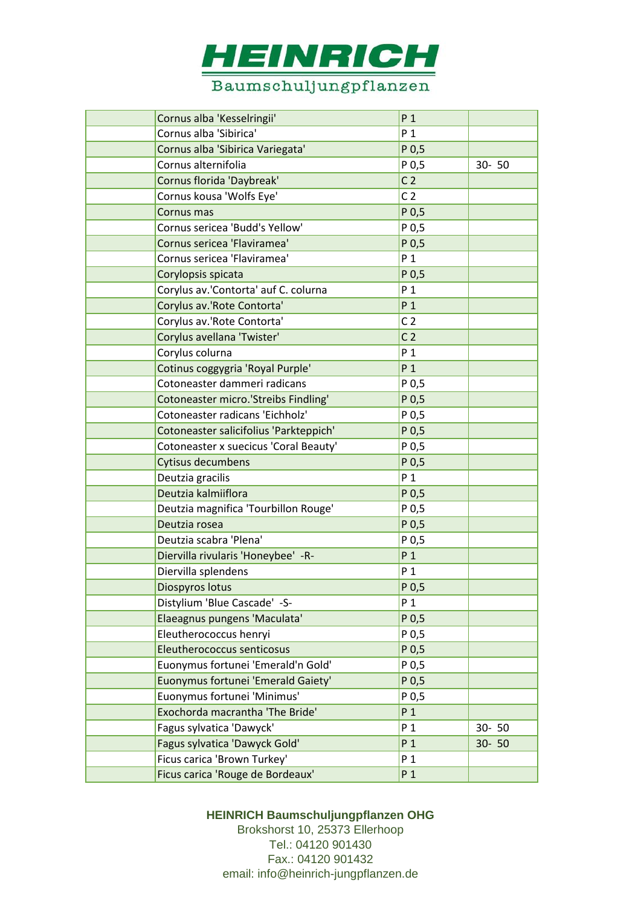

| Cornus alba 'Kesselringii'             | P <sub>1</sub>   |           |
|----------------------------------------|------------------|-----------|
| Cornus alba 'Sibirica'                 | P <sub>1</sub>   |           |
| Cornus alba 'Sibirica Variegata'       | P <sub>0,5</sub> |           |
| Cornus alternifolia                    | P 0,5            | $30 - 50$ |
| Cornus florida 'Daybreak'              | C <sub>2</sub>   |           |
| Cornus kousa 'Wolfs Eye'               | C <sub>2</sub>   |           |
| Cornus mas                             | P 0,5            |           |
| Cornus sericea 'Budd's Yellow'         | P 0,5            |           |
| Cornus sericea 'Flaviramea'            | P <sub>0,5</sub> |           |
| Cornus sericea 'Flaviramea'            | P 1              |           |
| Corylopsis spicata                     | P <sub>0,5</sub> |           |
| Corylus av.'Contorta' auf C. colurna   | P <sub>1</sub>   |           |
| Corylus av.'Rote Contorta'             | P <sub>1</sub>   |           |
| Corylus av.'Rote Contorta'             | C <sub>2</sub>   |           |
| Corylus avellana 'Twister'             | C <sub>2</sub>   |           |
| Corylus colurna                        | P <sub>1</sub>   |           |
| Cotinus coggygria 'Royal Purple'       | P <sub>1</sub>   |           |
| Cotoneaster dammeri radicans           | P 0,5            |           |
| Cotoneaster micro.'Streibs Findling'   | P 0,5            |           |
| Cotoneaster radicans 'Eichholz'        | P 0,5            |           |
| Cotoneaster salicifolius 'Parkteppich' | P <sub>0,5</sub> |           |
| Cotoneaster x suecicus 'Coral Beauty'  | P 0,5            |           |
| Cytisus decumbens                      | P <sub>0,5</sub> |           |
| Deutzia gracilis                       | P <sub>1</sub>   |           |
| Deutzia kalmiiflora                    | P <sub>0,5</sub> |           |
| Deutzia magnifica 'Tourbillon Rouge'   | P 0,5            |           |
| Deutzia rosea                          | P 0,5            |           |
| Deutzia scabra 'Plena'                 | P 0,5            |           |
| Diervilla rivularis 'Honeybee' - R-    | P <sub>1</sub>   |           |
| Diervilla splendens                    | P <sub>1</sub>   |           |
| Diospyros lotus                        | P 0.5            |           |
| Distylium 'Blue Cascade' -S-           | P <sub>1</sub>   |           |
| Elaeagnus pungens 'Maculata'           | P <sub>0,5</sub> |           |
| Eleutherococcus henryi                 | P 0,5            |           |
| Eleutherococcus senticosus             | P <sub>0,5</sub> |           |
| Euonymus fortunei 'Emerald'n Gold'     | P 0,5            |           |
| Euonymus fortunei 'Emerald Gaiety'     | P <sub>0,5</sub> |           |
| Euonymus fortunei 'Minimus'            | P 0,5            |           |
| Exochorda macrantha 'The Bride'        | P <sub>1</sub>   |           |
| Fagus sylvatica 'Dawyck'               | P 1              | $30 - 50$ |
| Fagus sylvatica 'Dawyck Gold'          | P <sub>1</sub>   | $30 - 50$ |
| Ficus carica 'Brown Turkey'            | P <sub>1</sub>   |           |
| Ficus carica 'Rouge de Bordeaux'       | P <sub>1</sub>   |           |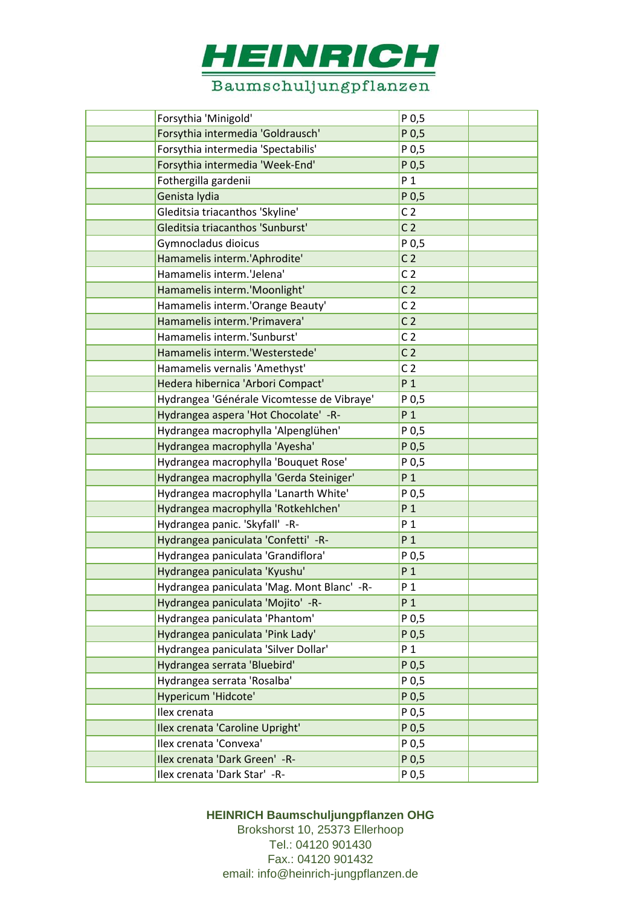

| Forsythia 'Minigold'                       | P 0,5            |  |
|--------------------------------------------|------------------|--|
| Forsythia intermedia 'Goldrausch'          | P 0,5            |  |
| Forsythia intermedia 'Spectabilis'         | P 0,5            |  |
| Forsythia intermedia 'Week-End'            | P 0,5            |  |
| Fothergilla gardenii                       | P <sub>1</sub>   |  |
| Genista lydia                              | P 0,5            |  |
| Gleditsia triacanthos 'Skyline'            | C <sub>2</sub>   |  |
| Gleditsia triacanthos 'Sunburst'           | C <sub>2</sub>   |  |
| Gymnocladus dioicus                        | P 0,5            |  |
| Hamamelis interm.'Aphrodite'               | C <sub>2</sub>   |  |
| Hamamelis interm.'Jelena'                  | C <sub>2</sub>   |  |
| Hamamelis interm.'Moonlight'               | C <sub>2</sub>   |  |
| Hamamelis interm.'Orange Beauty'           | C <sub>2</sub>   |  |
| Hamamelis interm.'Primavera'               | C <sub>2</sub>   |  |
| Hamamelis interm.'Sunburst'                | C <sub>2</sub>   |  |
| Hamamelis interm.'Westerstede'             | C <sub>2</sub>   |  |
| Hamamelis vernalis 'Amethyst'              | C <sub>2</sub>   |  |
| Hedera hibernica 'Arbori Compact'          | P <sub>1</sub>   |  |
| Hydrangea 'Générale Vicomtesse de Vibraye' | P 0,5            |  |
| Hydrangea aspera 'Hot Chocolate' -R-       | $P_1$            |  |
| Hydrangea macrophylla 'Alpenglühen'        | P 0,5            |  |
| Hydrangea macrophylla 'Ayesha'             | P 0,5            |  |
| Hydrangea macrophylla 'Bouquet Rose'       | P 0,5            |  |
| Hydrangea macrophylla 'Gerda Steiniger'    | P <sub>1</sub>   |  |
| Hydrangea macrophylla 'Lanarth White'      | P 0,5            |  |
| Hydrangea macrophylla 'Rotkehlchen'        | P <sub>1</sub>   |  |
| Hydrangea panic. 'Skyfall' -R-             | $P_1$            |  |
| Hydrangea paniculata 'Confetti' -R-        | P <sub>1</sub>   |  |
| Hydrangea paniculata 'Grandiflora'         | P 0,5            |  |
| Hydrangea paniculata 'Kyushu'              | P <sub>1</sub>   |  |
| Hydrangea paniculata 'Mag. Mont Blanc' -R- | $P_1$            |  |
| Hydrangea paniculata 'Mojito' -R-          | P <sub>1</sub>   |  |
| Hydrangea paniculata 'Phantom'             | P 0,5            |  |
| Hydrangea paniculata 'Pink Lady'           | P <sub>0,5</sub> |  |
| Hydrangea paniculata 'Silver Dollar'       | P <sub>1</sub>   |  |
| Hydrangea serrata 'Bluebird'               | P 0,5            |  |
| Hydrangea serrata 'Rosalba'                | P 0,5            |  |
| Hypericum 'Hidcote'                        | P 0,5            |  |
| Ilex crenata                               | P 0,5            |  |
| Ilex crenata 'Caroline Upright'            | P 0,5            |  |
| Ilex crenata 'Convexa'                     | P 0,5            |  |
| Ilex crenata 'Dark Green' - R-             | P 0,5            |  |
| Ilex crenata 'Dark Star' -R-               | P 0,5            |  |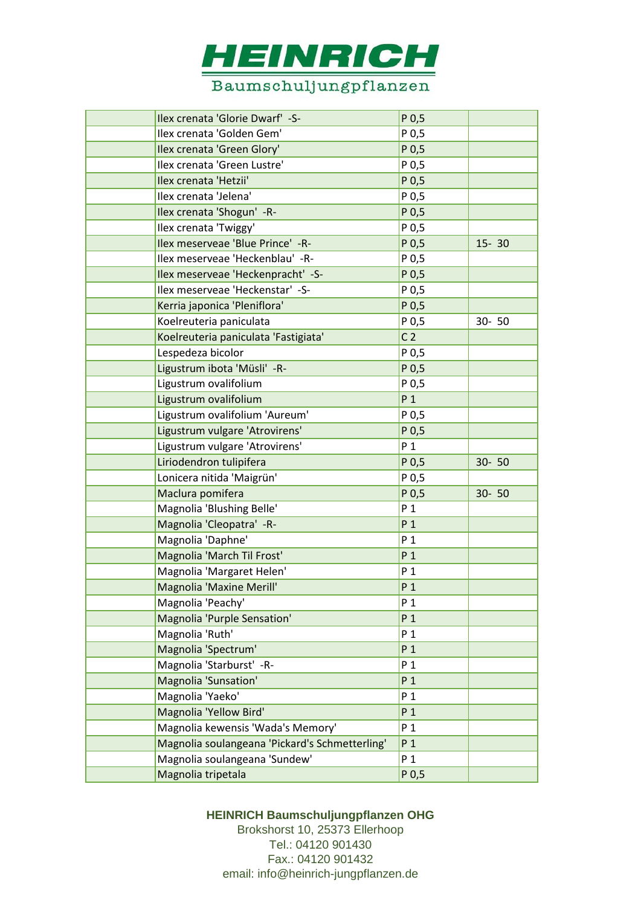

| Ilex crenata 'Glorie Dwarf' -S-                | $P$ <sub>0,5</sub> |           |
|------------------------------------------------|--------------------|-----------|
| Ilex crenata 'Golden Gem'                      | P 0,5              |           |
| Ilex crenata 'Green Glory'                     | P 0,5              |           |
| Ilex crenata 'Green Lustre'                    | P 0,5              |           |
| Ilex crenata 'Hetzii'                          | P 0,5              |           |
| Ilex crenata 'Jelena'                          | P 0,5              |           |
| Ilex crenata 'Shogun' - R-                     | P 0,5              |           |
| Ilex crenata 'Twiggy'                          | P 0,5              |           |
| Ilex meserveae 'Blue Prince' -R-               | P 0,5              | $15 - 30$ |
| Ilex meserveae 'Heckenblau' -R-                | P 0,5              |           |
| Ilex meserveae 'Heckenpracht' -S-              | P <sub>0,5</sub>   |           |
| Ilex meserveae 'Heckenstar' -S-                | P 0,5              |           |
| Kerria japonica 'Pleniflora'                   | P 0,5              |           |
| Koelreuteria paniculata                        | P 0,5              | $30 - 50$ |
| Koelreuteria paniculata 'Fastigiata'           | C <sub>2</sub>     |           |
| Lespedeza bicolor                              | P 0,5              |           |
| Ligustrum ibota 'Müsli' - R-                   | P 0,5              |           |
| Ligustrum ovalifolium                          | P 0,5              |           |
| Ligustrum ovalifolium                          | P <sub>1</sub>     |           |
| Ligustrum ovalifolium 'Aureum'                 | P 0,5              |           |
| Ligustrum vulgare 'Atrovirens'                 | P 0,5              |           |
| Ligustrum vulgare 'Atrovirens'                 | P <sub>1</sub>     |           |
| Liriodendron tulipifera                        | P <sub>0,5</sub>   | $30 - 50$ |
| Lonicera nitida 'Maigrün'                      | P 0,5              |           |
| Maclura pomifera                               | P 0,5              | $30 - 50$ |
| Magnolia 'Blushing Belle'                      | P <sub>1</sub>     |           |
| Magnolia 'Cleopatra' - R-                      | P <sub>1</sub>     |           |
| Magnolia 'Daphne'                              | P <sub>1</sub>     |           |
| Magnolia 'March Til Frost'                     | P <sub>1</sub>     |           |
| Magnolia 'Margaret Helen'                      | P <sub>1</sub>     |           |
| Magnolia 'Maxine Merill'                       | P <sub>1</sub>     |           |
| Magnolia 'Peachy'                              | P <sub>1</sub>     |           |
| Magnolia 'Purple Sensation'                    | P <sub>1</sub>     |           |
| Magnolia 'Ruth'                                | P 1                |           |
| Magnolia 'Spectrum'                            | P <sub>1</sub>     |           |
| Magnolia 'Starburst' - R-                      | P <sub>1</sub>     |           |
| Magnolia 'Sunsation'                           | P <sub>1</sub>     |           |
| Magnolia 'Yaeko'                               | P <sub>1</sub>     |           |
| Magnolia 'Yellow Bird'                         | P <sub>1</sub>     |           |
| Magnolia kewensis 'Wada's Memory'              | P <sub>1</sub>     |           |
| Magnolia soulangeana 'Pickard's Schmetterling' | P <sub>1</sub>     |           |
| Magnolia soulangeana 'Sundew'                  | P <sub>1</sub>     |           |
| Magnolia tripetala                             | P <sub>0,5</sub>   |           |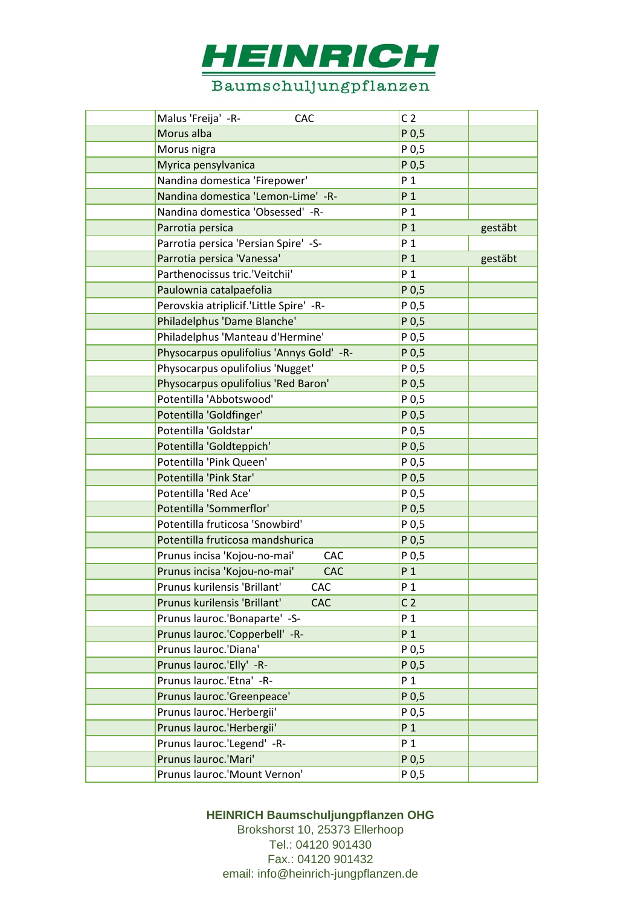

| Malus 'Freija' -R-<br>CAC                  | C <sub>2</sub>   |         |
|--------------------------------------------|------------------|---------|
| Morus alba                                 | P 0,5            |         |
| Morus nigra                                | P 0,5            |         |
| Myrica pensylvanica                        | P <sub>0,5</sub> |         |
| Nandina domestica 'Firepower'              | P <sub>1</sub>   |         |
| Nandina domestica 'Lemon-Lime' -R-         | P <sub>1</sub>   |         |
| Nandina domestica 'Obsessed' -R-           | P <sub>1</sub>   |         |
| Parrotia persica                           | P <sub>1</sub>   | gestäbt |
| Parrotia persica 'Persian Spire' -S-       | P <sub>1</sub>   |         |
| Parrotia persica 'Vanessa'                 | P <sub>1</sub>   | gestäbt |
| Parthenocissus tric.'Veitchii'             | P <sub>1</sub>   |         |
| Paulownia catalpaefolia                    | P 0,5            |         |
| Perovskia atriplicif.'Little Spire' -R-    | P 0,5            |         |
| Philadelphus 'Dame Blanche'                | P 0,5            |         |
| Philadelphus 'Manteau d'Hermine'           | P 0,5            |         |
| Physocarpus opulifolius 'Annys Gold' -R-   | P <sub>0,5</sub> |         |
| Physocarpus opulifolius 'Nugget'           | P 0,5            |         |
| Physocarpus opulifolius 'Red Baron'        | P 0,5            |         |
| Potentilla 'Abbotswood'                    | P 0,5            |         |
| Potentilla 'Goldfinger'                    | P 0,5            |         |
| Potentilla 'Goldstar'                      | P 0,5            |         |
| Potentilla 'Goldteppich'                   | P 0,5            |         |
| Potentilla 'Pink Queen'                    | P 0,5            |         |
| Potentilla 'Pink Star'                     | P 0,5            |         |
| Potentilla 'Red Ace'                       | P 0,5            |         |
| Potentilla 'Sommerflor'                    | P 0,5            |         |
| Potentilla fruticosa 'Snowbird'            | P 0,5            |         |
| Potentilla fruticosa mandshurica           | P <sub>0,5</sub> |         |
| Prunus incisa 'Kojou-no-mai'<br><b>CAC</b> | P 0,5            |         |
| Prunus incisa 'Kojou-no-mai'<br>CAC        | P <sub>1</sub>   |         |
| Prunus kurilensis 'Brillant'<br><b>CAC</b> | P <sub>1</sub>   |         |
| Prunus kurilensis 'Brillant'<br><b>CAC</b> | C <sub>2</sub>   |         |
| Prunus lauroc.'Bonaparte' -S-              | P <sub>1</sub>   |         |
| Prunus lauroc.'Copperbell' -R-             | P <sub>1</sub>   |         |
| Prunus lauroc.'Diana'                      | P 0,5            |         |
| Prunus lauroc.'Elly' -R-                   | P 0,5            |         |
| Prunus lauroc.'Etna' -R-                   | P <sub>1</sub>   |         |
| Prunus lauroc.'Greenpeace'                 | P <sub>0,5</sub> |         |
| Prunus lauroc.'Herbergii'                  | P 0,5            |         |
| Prunus lauroc.'Herbergii'                  | P <sub>1</sub>   |         |
| Prunus lauroc.'Legend' -R-                 | P <sub>1</sub>   |         |
| Prunus lauroc.'Mari'                       | P <sub>0,5</sub> |         |
| Prunus lauroc.'Mount Vernon'               | P 0,5            |         |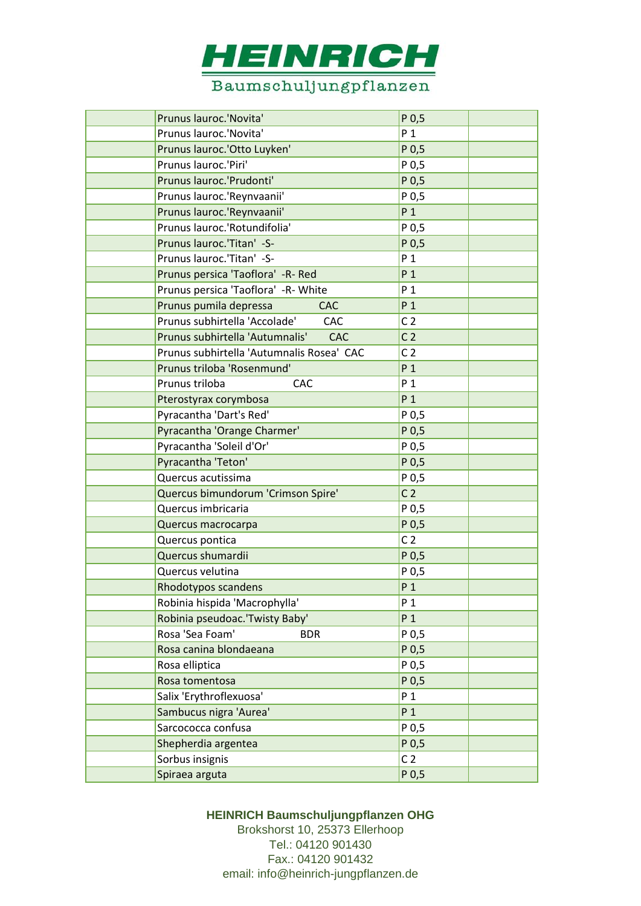

| Prunus lauroc.'Novita'                        | P <sub>0,5</sub> |
|-----------------------------------------------|------------------|
| Prunus lauroc.'Novita'                        | P <sub>1</sub>   |
| Prunus lauroc.'Otto Luyken'                   | P 0,5            |
| Prunus lauroc.'Piri'                          | P 0,5            |
| Prunus lauroc.'Prudonti'                      | P 0,5            |
| Prunus lauroc.'Reynvaanii'                    | P 0,5            |
| Prunus lauroc.'Reynvaanii'                    | P <sub>1</sub>   |
| Prunus lauroc.'Rotundifolia'                  | P 0,5            |
| Prunus lauroc.'Titan' -S-                     | P <sub>0,5</sub> |
| Prunus lauroc.'Titan' -S-                     | P <sub>1</sub>   |
| Prunus persica 'Taoflora' -R- Red             | P <sub>1</sub>   |
| Prunus persica 'Taoflora' -R- White           | P <sub>1</sub>   |
| Prunus pumila depressa<br><b>CAC</b>          | P <sub>1</sub>   |
| Prunus subhirtella 'Accolade'<br>CAC          | C <sub>2</sub>   |
| Prunus subhirtella 'Autumnalis'<br><b>CAC</b> | C <sub>2</sub>   |
| Prunus subhirtella 'Autumnalis Rosea' CAC     | C <sub>2</sub>   |
| Prunus triloba 'Rosenmund'                    | P <sub>1</sub>   |
| Prunus triloba<br>CAC                         | P <sub>1</sub>   |
| Pterostyrax corymbosa                         | P <sub>1</sub>   |
| Pyracantha 'Dart's Red'                       | P 0,5            |
| Pyracantha 'Orange Charmer'                   | P 0,5            |
| Pyracantha 'Soleil d'Or'                      | P 0,5            |
| Pyracantha 'Teton'                            | P 0,5            |
| Quercus acutissima                            | P 0,5            |
| Quercus bimundorum 'Crimson Spire'            | C <sub>2</sub>   |
| Quercus imbricaria                            | P 0,5            |
| Quercus macrocarpa                            | P 0,5            |
| Quercus pontica                               | C <sub>2</sub>   |
| Quercus shumardii                             | P <sub>0,5</sub> |
| Quercus velutina                              | P 0,5            |
| Rhodotypos scandens                           | P <sub>1</sub>   |
| Robinia hispida 'Macrophylla'                 | P <sub>1</sub>   |
| Robinia pseudoac.'Twisty Baby'                | P <sub>1</sub>   |
| Rosa 'Sea Foam'<br><b>BDR</b>                 | P 0,5            |
| Rosa canina blondaeana                        | P <sub>0,5</sub> |
| Rosa elliptica                                | P 0,5            |
| Rosa tomentosa                                | P 0,5            |
| Salix 'Erythroflexuosa'                       | $P_1$            |
| Sambucus nigra 'Aurea'                        | P <sub>1</sub>   |
| Sarcococca confusa                            | P 0,5            |
| Shepherdia argentea                           | P 0,5            |
| Sorbus insignis                               | C <sub>2</sub>   |
| Spiraea arguta                                | P 0,5            |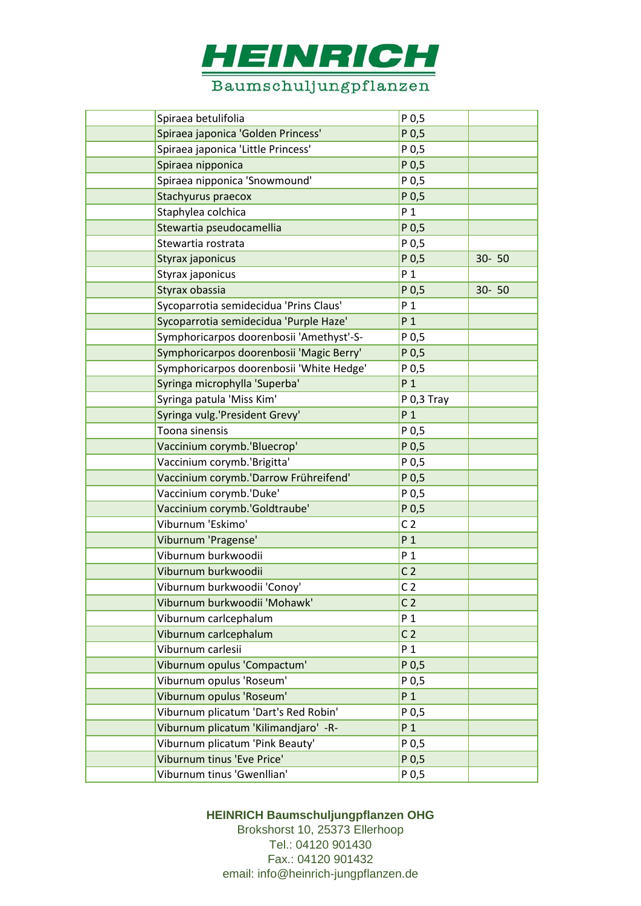

| Spiraea betulifolia                      | P 0, 5           |           |
|------------------------------------------|------------------|-----------|
| Spiraea japonica 'Golden Princess'       | P 0,5            |           |
| Spiraea japonica 'Little Princess'       | P 0,5            |           |
| Spiraea nipponica                        | P 0,5            |           |
| Spiraea nipponica 'Snowmound'            | P 0,5            |           |
| Stachyurus praecox                       | P 0,5            |           |
| Staphylea colchica                       | $P_1$            |           |
| Stewartia pseudocamellia                 | P 0,5            |           |
| Stewartia rostrata                       | P <sub>0,5</sub> |           |
| Styrax japonicus                         | P <sub>0,5</sub> | $30 - 50$ |
| Styrax japonicus                         | $P_1$            |           |
| Styrax obassia                           | P 0,5            | $30 - 50$ |
| Sycoparrotia semidecidua 'Prins Claus'   | P <sub>1</sub>   |           |
| Sycoparrotia semidecidua 'Purple Haze'   | P <sub>1</sub>   |           |
| Symphoricarpos doorenbosii 'Amethyst'-S- | P <sub>0,5</sub> |           |
| Symphoricarpos doorenbosii 'Magic Berry' | P 0,5            |           |
| Symphoricarpos doorenbosii 'White Hedge' | P 0,5            |           |
| Syringa microphylla 'Superba'            | P <sub>1</sub>   |           |
| Syringa patula 'Miss Kim'                | P 0,3 Tray       |           |
| Syringa vulg.'President Grevy'           | P <sub>1</sub>   |           |
| Toona sinensis                           | P 0,5            |           |
| Vaccinium corymb.'Bluecrop'              | P 0,5            |           |
| Vaccinium corymb.'Brigitta'              | P 0,5            |           |
| Vaccinium corymb.'Darrow Frühreifend'    | P 0,5            |           |
| Vaccinium corymb.'Duke'                  | P 0,5            |           |
| Vaccinium corymb.'Goldtraube'            | P 0,5            |           |
| Viburnum 'Eskimo'                        | C <sub>2</sub>   |           |
| Viburnum 'Pragense'                      | P <sub>1</sub>   |           |
| Viburnum burkwoodii                      | P <sub>1</sub>   |           |
| Viburnum burkwoodii                      | C <sub>2</sub>   |           |
| Viburnum burkwoodii 'Conoy'              | C <sub>2</sub>   |           |
| Viburnum burkwoodii 'Mohawk'             | C <sub>2</sub>   |           |
| Viburnum carlcephalum                    | P <sub>1</sub>   |           |
| Viburnum carlcephalum                    | C <sub>2</sub>   |           |
| Viburnum carlesii                        | P <sub>1</sub>   |           |
| Viburnum opulus 'Compactum'              | P <sub>0,5</sub> |           |
| Viburnum opulus 'Roseum'                 | P 0,5            |           |
| Viburnum opulus 'Roseum'                 | $P_1$            |           |
| Viburnum plicatum 'Dart's Red Robin'     | P 0,5            |           |
| Viburnum plicatum 'Kilimandjaro' - R-    | P <sub>1</sub>   |           |
| Viburnum plicatum 'Pink Beauty'          | P 0,5            |           |
| Viburnum tinus 'Eve Price'               | P <sub>0,5</sub> |           |
| Viburnum tinus 'Gwenllian'               | P 0,5            |           |